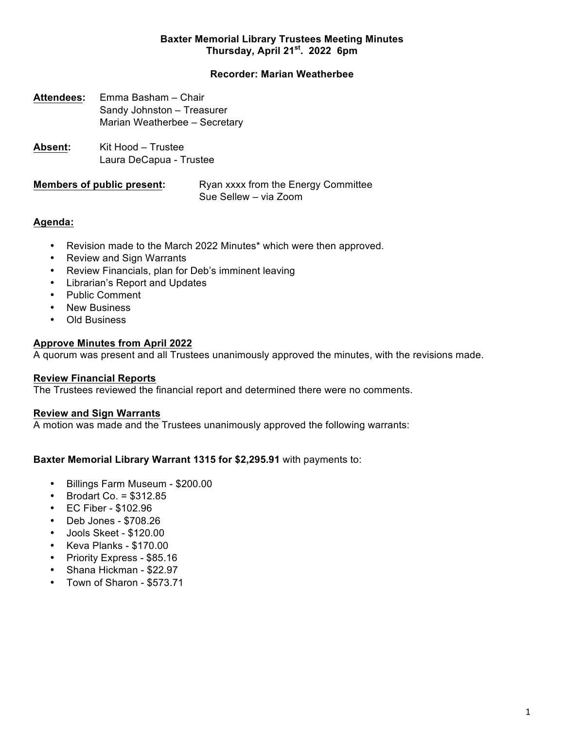## **Baxter Memorial Library Trustees Meeting Minutes Thursday, April 21st. 2022 6pm**

# **Recorder: Marian Weatherbee**

- **Attendees:** Emma Basham Chair Sandy Johnston – Treasurer Marian Weatherbee – Secretary
- **Absent:** Kit Hood Trustee Laura DeCapua - Trustee

**Members of public present:** Ryan xxxx from the Energy Committee Sue Sellew – via Zoom

## **Agenda:**

- Revision made to the March 2022 Minutes\* which were then approved.
- Review and Sign Warrants
- Review Financials, plan for Deb's imminent leaving
- Librarian's Report and Updates
- Public Comment
- New Business
- Old Business

# **Approve Minutes from April 2022**

A quorum was present and all Trustees unanimously approved the minutes, with the revisions made.

## **Review Financial Reports**

The Trustees reviewed the financial report and determined there were no comments.

## **Review and Sign Warrants**

A motion was made and the Trustees unanimously approved the following warrants:

## **Baxter Memorial Library Warrant 1315 for \$2,295.91** with payments to:

- Billings Farm Museum \$200.00
- $\bullet$  Brodart Co. = \$312.85
- EC Fiber \$102.96
- Deb Jones \$708.26
- Jools Skeet \$120.00
- Keva Planks \$170.00
- Priority Express \$85.16
- Shana Hickman \$22.97
- Town of Sharon \$573.71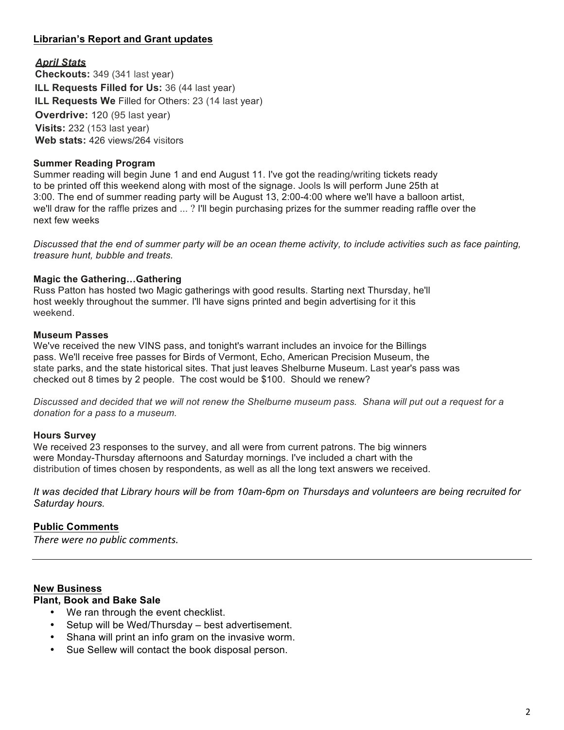# **Librarian's Report and Grant updates**

## *April Stats*

**Checkouts:** 349 (341 last year) **ILL Requests Filled for Us:** 36 (44 last year) **ILL Requests We** Filled for Others: 23 (14 last year) **Overdrive:** 120 (95 last year) **Visits:** 232 (153 last year) **Web stats:** 426 views/264 visitors

#### **Summer Reading Program**

Summer reading will begin June 1 and end August 11. I've got the reading/writing tickets ready to be printed off this weekend along with most of the signage. Jools ls will perform June 25th at 3:00. The end of summer reading party will be August 13, 2:00-4:00 where we'll have a balloon artist, we'll draw for the raffle prizes and ... ? I'll begin purchasing prizes for the summer reading raffle over the next few weeks

*Discussed that the end of summer party will be an ocean theme activity, to include activities such as face painting, treasure hunt, bubble and treats.*

### **Magic the Gathering…Gathering**

Russ Patton has hosted two Magic gatherings with good results. Starting next Thursday, he'll host weekly throughout the summer. I'll have signs printed and begin advertising for it this weekend.

#### **Museum Passes**

We've received the new VINS pass, and tonight's warrant includes an invoice for the Billings pass. We'll receive free passes for Birds of Vermont, Echo, American Precision Museum, the state parks, and the state historical sites. That just leaves Shelburne Museum. Last year's pass was checked out 8 times by 2 people. The cost would be \$100. Should we renew?

*Discussed and decided that we will not renew the Shelburne museum pass. Shana will put out a request for a donation for a pass to a museum.*

#### **Hours Survey**

We received 23 responses to the survey, and all were from current patrons. The big winners were Monday-Thursday afternoons and Saturday mornings. I've included a chart with the distribution of times chosen by respondents, as well as all the long text answers we received.

*It was decided that Library hours will be from 10am-6pm on Thursdays and volunteers are being recruited for Saturday hours.*

## **Public Comments**

*There* were no public comments.

#### **New Business**

#### **Plant, Book and Bake Sale**

- We ran through the event checklist.
- Setup will be Wed/Thursday best advertisement.
- Shana will print an info gram on the invasive worm.
- Sue Sellew will contact the book disposal person.